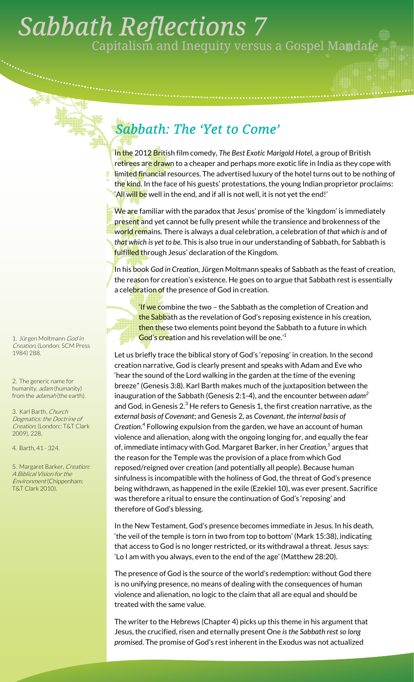## . *Sabbath Reflections 7*  Capitalism and Inequity versus a Gospel Mandate

## *Sabbath: The 'Yet to Come'*

In the 2012 British film comedy, *The Best Exotic Marigold Hotel,* a group of British retirees are drawn to a cheaper and perhaps more exotic life in India as they cope with limited financial resources. The advertised luxury of the hotel turns out to be nothing of the kind. In the face of his guests' protestations, the young Indian proprietor proclaims: 'All will be well in the end, and if all is not well, it is not yet the end!'

We are familiar with the paradox that Jesus' promise of the 'kingdom' is immediately present and yet cannot be fully present while the transience and brokenness of the world remains. There is always a dual celebration, a celebration of *that which is* and of *that which is yet to be*. This is also true in our understanding of Sabbath, for Sabbath is fulfilled through Jesus' declaration of the Kingdom.

In his book *God in Creation,* Jürgen Moltmann speaks of Sabbath as the feast of creation, the reason for creation's existence. He goes on to argue that Sabbath rest is essentially a celebration of the presence of God in creation.

**If we c**ombine the two – the Sabbath as the completion of Creation and the Sabbath as the revelation of God's reposing existence in his creation, then these two elements point beyond the Sabbath to a future in which God's creation and his revelation will be one.'<sup>1</sup>

Let us briefly trace the biblical story of God's 'reposing' in creation. In the second creation narrative, God is clearly present and speaks with Adam and Eve who 'hear the sound of the Lord walking in the garden at the time of the evening breeze" (Genesis 3:8). Karl Barth makes much of the juxtaposition between the inauguration of the Sabbath (Genesis 2:1-4), and the encounter between *adam2* and God, in Genesis 2. $^3$  He refers to Genesis 1, the first creation narrative, as the *external basis of Covenant*; and Genesis 2, as *Covenant, the internal basis of Creation.4* Following expulsion from the garden, we have an account of human violence and alienation, along with the ongoing longing for, and equally the fear of, immediate intimacy with God. Margaret Barker, in her *Creation,<sup>5</sup>* argues that the reason for the Temple was the provision of a place from which God reposed/reigned over creation (and potentially all people). Because human sinfulness is incompatible with the holiness of God, the threat of God's presence being withdrawn, as happened in the exile (Ezekiel 10), was ever present. Sacrifice was therefore a ritual to ensure the continuation of God's 'reposing' and therefore of God's blessing.

In the New Testament, God's presence becomes immediate in Jesus. In his death, 'the veil of the temple is torn in two from top to bottom' (Mark 15:38), indicating that access to God is no longer restricted, or its withdrawal a threat. Jesus says: 'Lo I am with you always, even to the end of the age' (Matthew 28:20).

The presence of God is the source of the world's redemption: without God there is no unifying presence, no means of dealing with the consequences of human violence and alienation, no logic to the claim that all are equal and should be treated with the same value.

The writer to the Hebrews (Chapter 4) picks up this theme in his argument that Jesus, the crucified, risen and eternally present One *is the Sabbath rest so long promised*. The promise of God's rest inherent in the Exodus was not actualized

1. Jürgen Moltmann God in Creation, (London: SCM Press 1984) 288.

2. The generic name for humanity. adam (humanity) from the *adamah* (the earth).

3. Karl Barth, Church Dogmatics: the Doctrine of Creation, (London:: T&T Clark 2009), 228.

4. Barth, 41 - 324.

5. Margaret Barker, Creation: A Biblical Vision for the Environment (Chippenham: T&T Clark 2010).